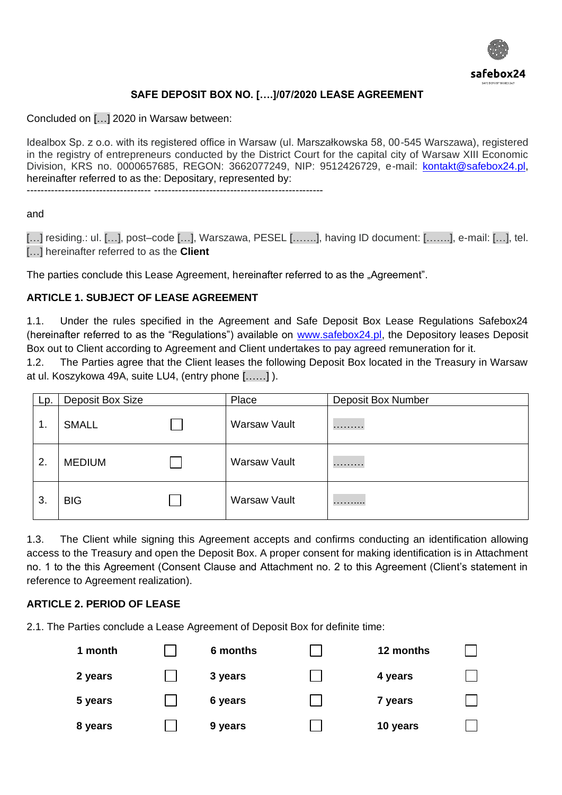

# **SAFE DEPOSIT BOX NO. [….]/07/2020 LEASE AGREEMENT**

Concluded on […] 2020 in Warsaw between:

Idealbox Sp. z o.o. with its registered office in Warsaw (ul. Marszałkowska 58, 00-545 Warszawa), registered in the registry of entrepreneurs conducted by the District Court for the capital city of Warsaw XIII Economic Division, KRS no. 0000657685, REGON: 3662077249, NIP: 9512426729, e-mail: [kontakt@safebox24.pl,](mailto:kontakt@safebox24.pl) hereinafter referred to as the: Depositary, represented by:

------------------------------------ -------------------------------------------------

#### and

[...] residing.: ul. [...], post–code [...], Warszawa, PESEL [.......], having ID document: [......], e-mail: [...], tel. […] hereinafter referred to as the **Client**

The parties conclude this Lease Agreement, hereinafter referred to as the "Agreement".

### **ARTICLE 1. SUBJECT OF LEASE AGREEMENT**

1.1. Under the rules specified in the Agreement and Safe Deposit Box Lease Regulations Safebox24 (hereinafter referred to as the "Regulations") available on [www.safebox24.pl,](http://www.safebox24.pl/) the Depository leases Deposit Box out to Client according to Agreement and Client undertakes to pay agreed remuneration for it.

1.2. The Parties agree that the Client leases the following Deposit Box located in the Treasury in Warsaw at ul. Koszykowa 49A, suite LU4, (entry phone [……] ).

| Lp.            | Deposit Box Size | Place               | <b>Deposit Box Number</b> |  |
|----------------|------------------|---------------------|---------------------------|--|
| $\mathbf{1}$ . | <b>SMALL</b>     | <b>Warsaw Vault</b> | .                         |  |
| 2.             | <b>MEDIUM</b>    | <b>Warsaw Vault</b> | .                         |  |
| 3.             | <b>BIG</b>       | <b>Warsaw Vault</b> | .                         |  |

1.3. The Client while signing this Agreement accepts and confirms conducting an identification allowing access to the Treasury and open the Deposit Box. A proper consent for making identification is in Attachment no. 1 to the this Agreement (Consent Clause and Attachment no. 2 to this Agreement (Client's statement in reference to Agreement realization).

### **ARTICLE 2. PERIOD OF LEASE**

2.1. The Parties conclude a Lease Agreement of Deposit Box for definite time:

| 1 month | 6 months | 12 months |  |
|---------|----------|-----------|--|
| 2 years | 3 years  | 4 years   |  |
| 5 years | 6 years  | 7 years   |  |
| 8 years | 9 years  | 10 years  |  |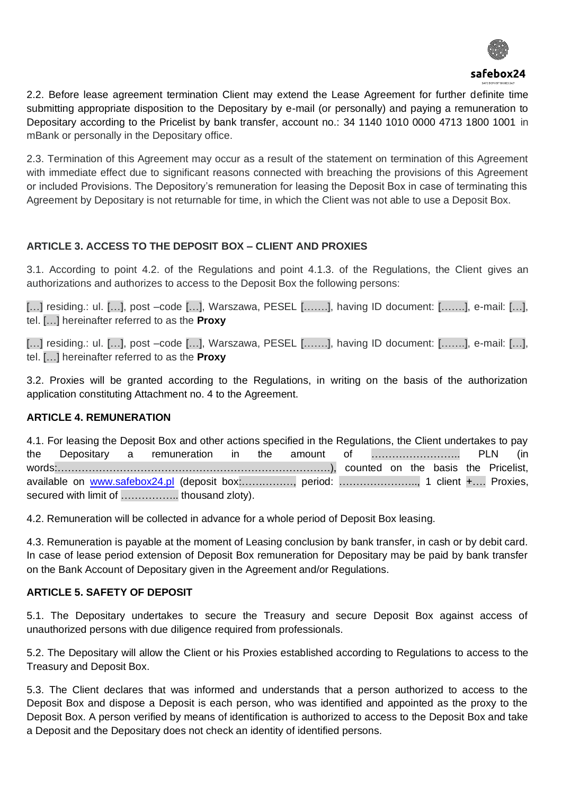

2.2. Before lease agreement termination Client may extend the Lease Agreement for further definite time submitting appropriate disposition to the Depositary by e-mail (or personally) and paying a remuneration to Depositary according to the Pricelist by bank transfer, account no.: 34 1140 1010 0000 4713 1800 1001 in mBank or personally in the Depositary office.

2.3. Termination of this Agreement may occur as a result of the statement on termination of this Agreement with immediate effect due to significant reasons connected with breaching the provisions of this Agreement or included Provisions. The Depository's remuneration for leasing the Deposit Box in case of terminating this Agreement by Depositary is not returnable for time, in which the Client was not able to use a Deposit Box.

# **ARTICLE 3. ACCESS TO THE DEPOSIT BOX – CLIENT AND PROXIES**

3.1. According to point 4.2. of the Regulations and point 4.1.3. of the Regulations, the Client gives an authorizations and authorizes to access to the Deposit Box the following persons:

[…] residing.: ul. […], post –code […], Warszawa, PESEL […….], having ID document: […….], e-mail: […], tel. […] hereinafter referred to as the **Proxy** 

[…] residing.: ul. […], post –code […], Warszawa, PESEL [……], having ID document: [……], e-mail: […], tel. […] hereinafter referred to as the **Proxy** 

3.2. Proxies will be granted according to the Regulations, in writing on the basis of the authorization application constituting Attachment no. 4 to the Agreement.

# **ARTICLE 4. REMUNERATION**

4.1. For leasing the Deposit Box and other actions specified in the Regulations, the Client undertakes to pay the Depositary a remuneration in the amount of …………………….. PLN (in words:…………………………………………………………………….), counted on the basis the Pricelist, available on [www.safebox24.pl](http://www.safebox24.pl/) (deposit box:.............., period: ......................, 1 client +.... Proxies, secured with limit of .................... thousand zloty).

4.2. Remuneration will be collected in advance for a whole period of Deposit Box leasing.

4.3. Remuneration is payable at the moment of Leasing conclusion by bank transfer, in cash or by debit card. In case of lease period extension of Deposit Box remuneration for Depositary may be paid by bank transfer on the Bank Account of Depositary given in the Agreement and/or Regulations.

# **ARTICLE 5. SAFETY OF DEPOSIT**

5.1. The Depositary undertakes to secure the Treasury and secure Deposit Box against access of unauthorized persons with due diligence required from professionals.

5.2. The Depositary will allow the Client or his Proxies established according to Regulations to access to the Treasury and Deposit Box.

5.3. The Client declares that was informed and understands that a person authorized to access to the Deposit Box and dispose a Deposit is each person, who was identified and appointed as the proxy to the Deposit Box. A person verified by means of identification is authorized to access to the Deposit Box and take a Deposit and the Depositary does not check an identity of identified persons.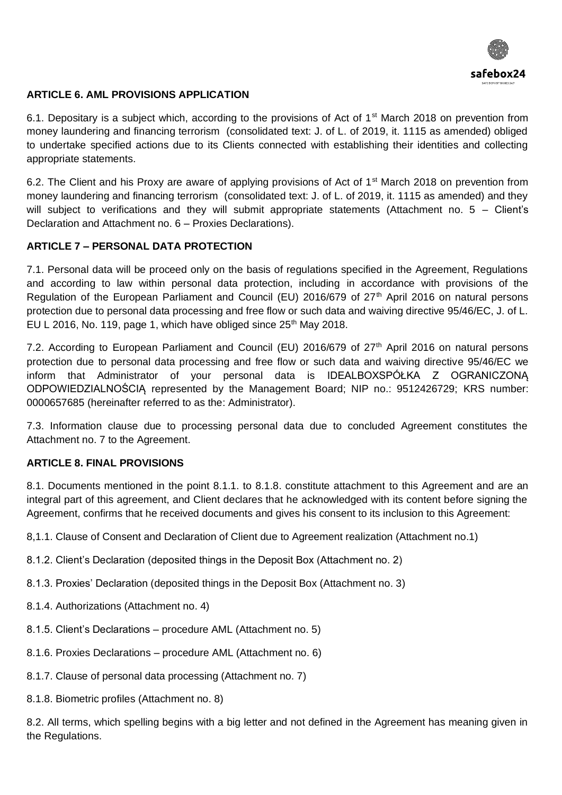

# **ARTICLE 6. AML PROVISIONS APPLICATION**

6.1. Depositary is a subject which, according to the provisions of Act of 1<sup>st</sup> March 2018 on prevention from money laundering and financing terrorism (consolidated text: J. of L. of 2019, it. 1115 as amended) obliged to undertake specified actions due to its Clients connected with establishing their identities and collecting appropriate statements.

6.2. The Client and his Proxy are aware of applying provisions of Act of 1<sup>st</sup> March 2018 on prevention from money laundering and financing terrorism (consolidated text: J. of L. of 2019, it. 1115 as amended) and they will subject to verifications and they will submit appropriate statements (Attachment no. 5 – Client's Declaration and Attachment no. 6 – Proxies Declarations).

## **ARTICLE 7 – PERSONAL DATA PROTECTION**

7.1. Personal data will be proceed only on the basis of regulations specified in the Agreement, Regulations and according to law within personal data protection, including in accordance with provisions of the Regulation of the European Parliament and Council (EU) 2016/679 of 27<sup>th</sup> April 2016 on natural persons protection due to personal data processing and free flow or such data and waiving directive 95/46/EC, J. of L. EU L 2016, No. 119, page 1, which have obliged since  $25<sup>th</sup>$  May 2018.

7.2. According to European Parliament and Council (EU) 2016/679 of 27th April 2016 on natural persons protection due to personal data processing and free flow or such data and waiving directive 95/46/EC we inform that Administrator of your personal data is IDEALBOXSPÓŁKA Z OGRANICZONĄ ODPOWIEDZIALNOŚCIĄ represented by the Management Board; NIP no.: 9512426729; KRS number: 0000657685 (hereinafter referred to as the: Administrator).

7.3. Information clause due to processing personal data due to concluded Agreement constitutes the Attachment no. 7 to the Agreement.

### **ARTICLE 8. FINAL PROVISIONS**

8.1. Documents mentioned in the point 8.1.1. to 8.1.8. constitute attachment to this Agreement and are an integral part of this agreement, and Client declares that he acknowledged with its content before signing the Agreement, confirms that he received documents and gives his consent to its inclusion to this Agreement:

8,1.1. Clause of Consent and Declaration of Client due to Agreement realization (Attachment no.1)

- 8.1.2. Client's Declaration (deposited things in the Deposit Box (Attachment no. 2)
- 8.1.3. Proxies' Declaration (deposited things in the Deposit Box (Attachment no. 3)
- 8.1.4. Authorizations (Attachment no. 4)
- 8.1.5. Client's Declarations procedure AML (Attachment no. 5)
- 8.1.6. Proxies Declarations procedure AML (Attachment no. 6)
- 8.1.7. Clause of personal data processing (Attachment no. 7)
- 8.1.8. Biometric profiles (Attachment no. 8)

8.2. All terms, which spelling begins with a big letter and not defined in the Agreement has meaning given in the Regulations.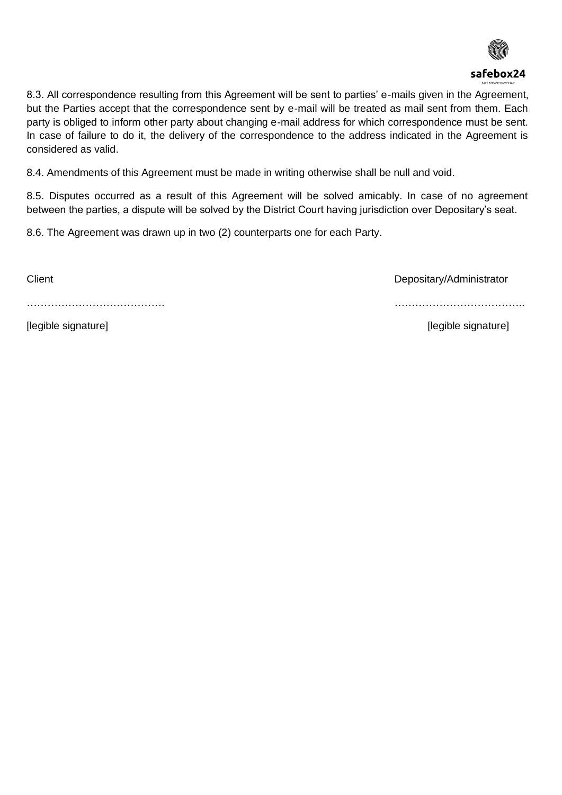

8.3. All correspondence resulting from this Agreement will be sent to parties' e-mails given in the Agreement, but the Parties accept that the correspondence sent by e-mail will be treated as mail sent from them. Each party is obliged to inform other party about changing e-mail address for which correspondence must be sent. In case of failure to do it, the delivery of the correspondence to the address indicated in the Agreement is considered as valid.

8.4. Amendments of this Agreement must be made in writing otherwise shall be null and void.

8.5. Disputes occurred as a result of this Agreement will be solved amicably. In case of no agreement between the parties, a dispute will be solved by the District Court having jurisdiction over Depositary's seat.

8.6. The Agreement was drawn up in two (2) counterparts one for each Party.

Client Client Client Client Client Client Client Client Client Client Client Client Client Client Client Client

…………………………………. ………………………………..

[legible signature] [Integration of the signature] [Integration of the signature]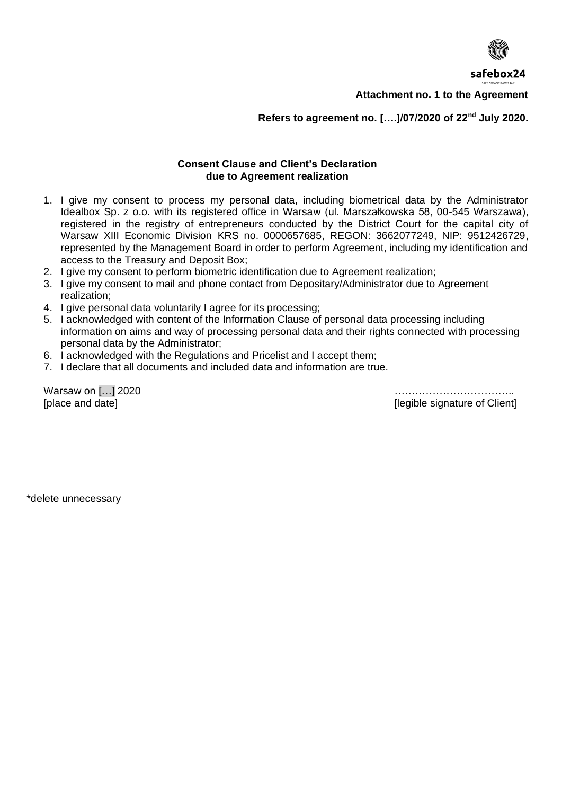

**Attachment no. 1 to the Agreement** 

### **Refers to agreement no. [….]/07/2020 of 22nd July 2020.**

### **Consent Clause and Client's Declaration due to Agreement realization**

- 1. I give my consent to process my personal data, including biometrical data by the Administrator Idealbox Sp. z o.o. with its registered office in Warsaw (ul. Marszałkowska 58, 00-545 Warszawa), registered in the registry of entrepreneurs conducted by the District Court for the capital city of Warsaw XIII Economic Division KRS no. 0000657685, REGON: 3662077249, NIP: 9512426729, represented by the Management Board in order to perform Agreement, including my identification and access to the Treasury and Deposit Box;
- 2. I give my consent to perform biometric identification due to Agreement realization;
- 3. I give my consent to mail and phone contact from Depositary/Administrator due to Agreement realization;
- 4. I give personal data voluntarily I agree for its processing;
- 5. I acknowledged with content of the Information Clause of personal data processing including information on aims and way of processing personal data and their rights connected with processing personal data by the Administrator;
- 6. I acknowledged with the Regulations and Pricelist and I accept them;
- 7. I declare that all documents and included data and information are true.

[place and date] [place and date] [conserved all the signature of Client] [1991]

Warsaw on […] 2020 ……………………………..

\*delete unnecessary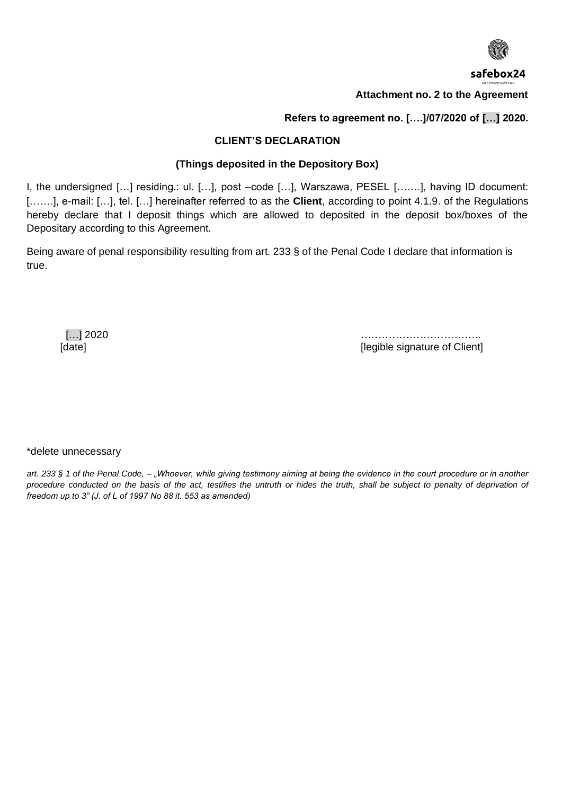

**Attachment no. 2 to the Agreement** 

**Refers to agreement no. [….]/07/2020 of […] 2020.** 

### **CLIENT'S DECLARATION**

# **(Things deposited in the Depository Box)**

I, the undersigned […] residing.: ul. […], post –code […], Warszawa, PESEL […….], having ID document: [.......], e-mail: [...], tel. [...] hereinafter referred to as the **Client**, according to point 4.1.9. of the Regulations hereby declare that I deposit things which are allowed to deposited in the deposit box/boxes of the Depositary according to this Agreement.

Being aware of penal responsibility resulting from art. 233 § of the Penal Code I declare that information is true.

 […] 2020 …………………………….. [legible signature of Client]

#### \*delete unnecessary

*art. 233 § 1 of the Penal Code, – "Whoever, while giving testimony aiming at being the evidence in the court procedure or in another*  procedure conducted on the basis of the act, testifies the untruth or hides the truth, shall be subject to penalty of deprivation of *freedom up to 3" (J. of L of 1997 No 88 it. 553 as amended)*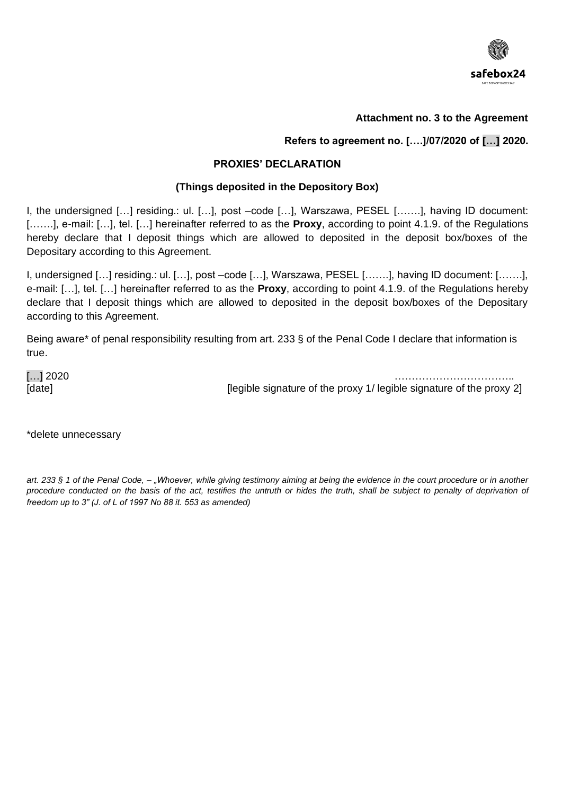

### **Attachment no. 3 to the Agreement**

### **Refers to agreement no. [….]/07/2020 of […] 2020.**

#### **PROXIES' DECLARATION**

### **(Things deposited in the Depository Box)**

I, the undersigned […] residing.: ul. […], post –code […], Warszawa, PESEL […….], having ID document: […….], e-mail: […], tel. […] hereinafter referred to as the **Proxy**, according to point 4.1.9. of the Regulations hereby declare that I deposit things which are allowed to deposited in the deposit box/boxes of the Depositary according to this Agreement.

I, undersigned […] residing.: ul. […], post –code […], Warszawa, PESEL […….], having ID document: […….], e-mail: […], tel. […] hereinafter referred to as the **Proxy**, according to point 4.1.9. of the Regulations hereby declare that I deposit things which are allowed to deposited in the deposit box/boxes of the Depositary according to this Agreement.

Being aware\* of penal responsibility resulting from art. 233 § of the Penal Code I declare that information is true.

[…] 2020 ……………………………..

[legible signature of the proxy 1/ legible signature of the proxy 2]

\*delete unnecessary

*art. 233 § 1 of the Penal Code, – "Whoever, while giving testimony aiming at being the evidence in the court procedure or in another*  procedure conducted on the basis of the act, testifies the untruth or hides the truth, shall be subject to penalty of deprivation of *freedom up to 3" (J. of L of 1997 No 88 it. 553 as amended)*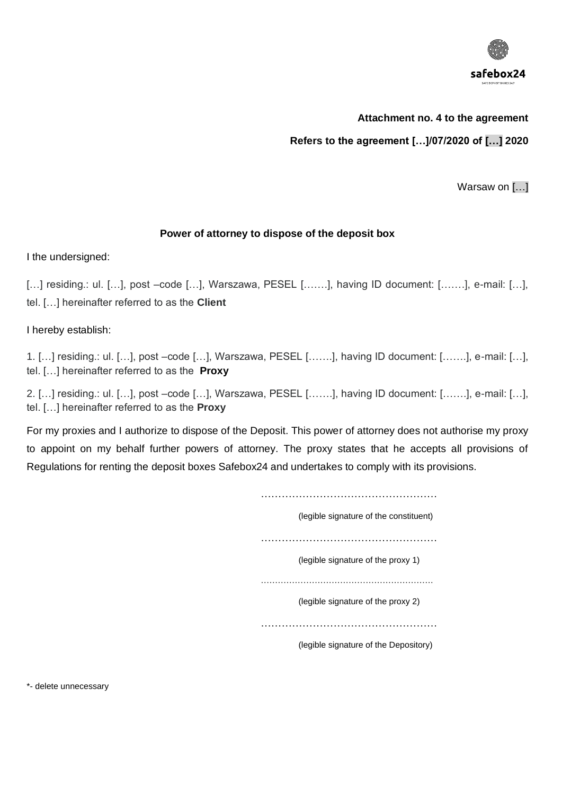

## **Attachment no. 4 to the agreement**

**Refers to the agreement […]/07/2020 of […] 2020**

Warsaw on [...]

### **Power of attorney to dispose of the deposit box**

I the undersigned:

[...] residing.: ul. [...], post -code [...], Warszawa, PESEL [.......], having ID document: [......], e-mail: [...], tel. […] hereinafter referred to as the **Client**

I hereby establish:

1. […] residing.: ul. […], post –code […], Warszawa, PESEL […….], having ID document: […….], e-mail: […], tel. […] hereinafter referred to as the **Proxy**

2. […] residing.: ul. […], post –code […], Warszawa, PESEL […….], having ID document: […….], e-mail: […], tel. […] hereinafter referred to as the **Proxy**

For my proxies and I authorize to dispose of the Deposit. This power of attorney does not authorise my proxy to appoint on my behalf further powers of attorney. The proxy states that he accepts all provisions of Regulations for renting the deposit boxes Safebox24 and undertakes to comply with its provisions.

> …………………………………………… (legible signature of the constituent) …………………………………………… (legible signature of the proxy 1) ……………………………………………………. (legible signature of the proxy 2) …………………………………………… (legible signature of the Depository)

\*- delete unnecessary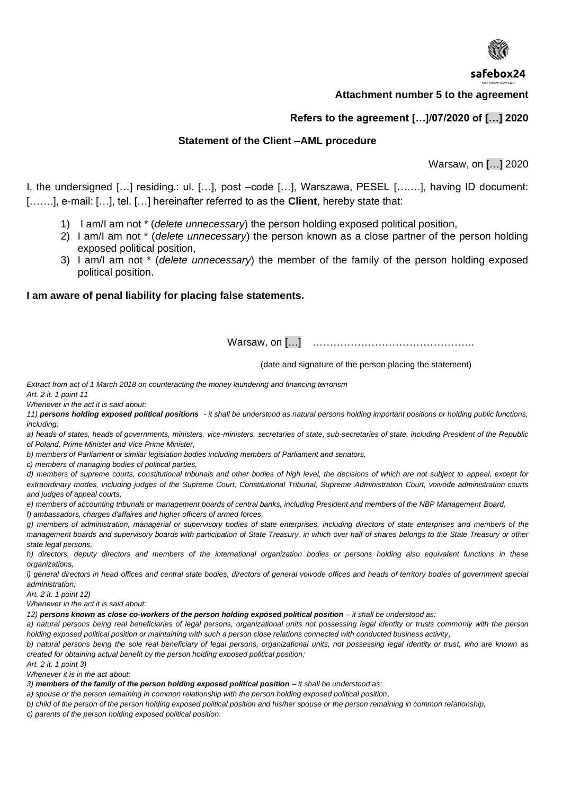

#### **Attachment number 5 to the agreement**

### **Refers to the agreement […]/07/2020 of […] 2020**

### **Statement of the Client –AML procedure**

Warsaw, on […] 2020

I, the undersigned […] residing.: ul. […], post –code […], Warszawa, PESEL […….], having ID document: […….], e-mail: […], tel. […] hereinafter referred to as the **Client**, hereby state that:

- 1) I am/I am not \* (*delete unnecessary*) the person holding exposed political position,
- 2) I am/I am not \* (*delete unnecessary*) the person known as a close partner of the person holding exposed political position,
- 3) I am/I am not \* (*delete unnecessary*) the member of the family of the person holding exposed political position.

#### **I am aware of penal liability for placing false statements.**

Warsaw, on […] …………………………………………

(date and signature of the person placing the statement)

*Extract from act of 1 March 2018 on counteracting the money laundering and financing terrorism* 

*Art. 2 it. 1 point 11 Whenever in the act it is said about:*

*11) persons holding exposed political positions - it shall be understood as natural persons holding important positions or holding public functions, including;* 

*a) heads of states, heads of governments, ministers, vice-ministers, secretaries of state, sub-secretaries of state, including President of the Republic of Poland, Prime Minister and Vice Prime Minister,*

*b) members of Parliament or similar legislation bodies including members of Parliament and senators,* 

*c) members of managing bodies of political parties,* 

*d) members of supreme courts, constitutional tribunals and other bodies of high level, the decisions of which are not subject to appeal, except for extraordinary modes, including judges of the Supreme Court, Constitutional Tribunal, Supreme Administration Court, voivode administration courts and judges of appeal courts,*

*e) members of accounting tribunals or management boards of central banks, including President and members of the NBP Management Board, f) ambassadors, charges d'affaires and higher officers of armed forces,*

*g) members of administration, managerial or supervisory bodies of state enterprises, including directors of state enterprises and members of the management boards and supervisory boards with participation of State Treasury, in which over half of shares belongs to the State Treasury or other state legal persons,*

*h) directors, deputy directors and members of the international organization bodies or persons holding also equivalent functions in these organizations,* 

*i) general directors in head offices and central state bodies, directors of general voivode offices and heads of territory bodies of government special administration;*

*Art. 2 it. 1 point 12)*

*Whenever in the act it is said about:*

*12) persons known as close co-workers of the person holding exposed political position – it shall be understood as:*

*a) natural persons being real beneficiaries of legal persons, organizational units not possessing legal identity or trusts commonly with the person holding exposed political position or maintaining with such a person close relations connected with conducted business activity,*

*b) natural persons being the sole real beneficiary of legal persons, organizational units, not possessing legal identity or trust, who are known as created for obtaining actual benefit by the person holding exposed political position;*

*Art. 2 it. 1 point 3)*

*Whenever it is in the act about:*

3) *members of the family of the person holding exposed political position – it shall be understood as:* 

*a) spouse or the person remaining in common relationship with the person holding exposed political position,*

*b) child of the person of the person holding exposed political position and his/her spouse or the person remaining in common relationship,*

*c) parents of the person holding exposed political position.*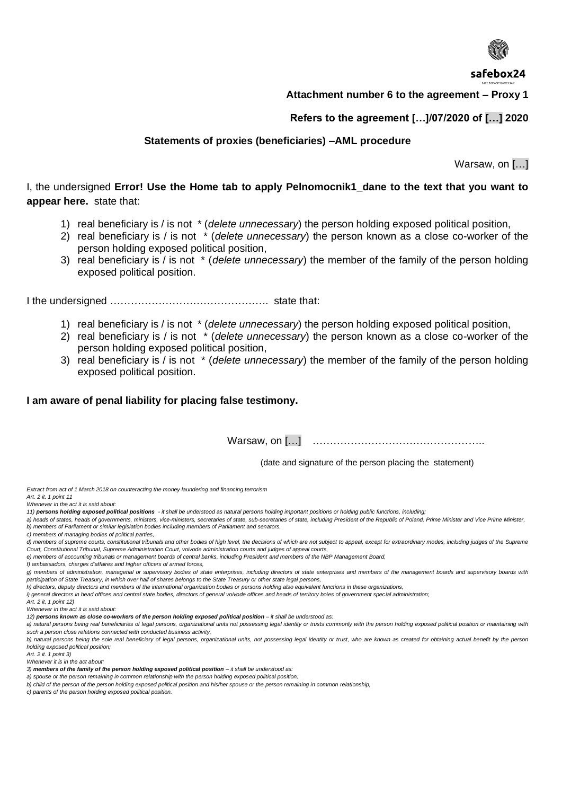

#### **Attachment number 6 to the agreement – Proxy 1**

### **Refers to the agreement […]/07/2020 of […] 2020**

#### **Statements of proxies (beneficiaries) –AML procedure**

Warsaw, on […]

## I, the undersigned **Error! Use the Home tab to apply Pelnomocnik1\_dane to the text that you want to appear here.** state that:

- 1) real beneficiary is / is not \* (*delete unnecessary*) the person holding exposed political position,
- 2) real beneficiary is / is not \* (*delete unnecessary*) the person known as a close co-worker of the person holding exposed political position,
- 3) real beneficiary is / is not \* (*delete unnecessary*) the member of the family of the person holding exposed political position.

I the undersigned ………………………………………. state that:

- 1) real beneficiary is / is not \* (*delete unnecessary*) the person holding exposed political position,
- 2) real beneficiary is / is not \* (*delete unnecessary*) the person known as a close co-worker of the person holding exposed political position,
- 3) real beneficiary is / is not \* (*delete unnecessary*) the member of the family of the person holding exposed political position.

#### **I am aware of penal liability for placing false testimony.**

Warsaw, on […] …………………………………………..

(date and signature of the person placing the statement)

*Extract from act of 1 March 2018 on counteracting the money laundering and financing terrorism* 

*Art. 2 it. 1 point 11 Whenever in the act it is said about:*

- *11) persons holding exposed political positions - it shall be understood as natural persons holding important positions or holding public functions, including;*
- *a) heads of states, heads of governments, ministers, vice-ministers, secretaries of state, sub-secretaries of state, including President of the Republic of Poland, Prime Minister and Vice Prime Minister, b) members of Parliament or similar legislation bodies including members of Parliament and senators,*
- *c) members of managing bodies of political parties,*
- *d) members of supreme courts, constitutional tribunals and other bodies of high level, the decisions of which are not subject to appeal, except for extraordinary modes, including judges of the Supreme Court, Constitutional Tribunal, Supreme Administration Court, voivode administration courts and judges of appeal courts,*
- *e) members of accounting tribunals or management boards of central banks, including President and members of the NBP Management Board,*
- *f) ambassadors, charges d'affaires and higher officers of armed forces,*
- *g) members of administration, managerial or supervisory bodies of state enterprises, including directors of state enterprises and members of the management boards and supervisory boards with participation of State Treasury, in which over half of shares belongs to the State Treasury or other state legal persons,*
- *h) directors, deputy directors and members of the international organization bodies or persons holding also equivalent functions in these organizations,*
- *i) general directors in head offices and central state bodies, directors of general voivode offices and heads of territory boies of government special administration;*

*Art. 2 it. 1 point 12)*

*Whenever in the act it is said about:*

12) persons known as close co-workers of the person holding exposed political position - it shall be understood as:

a) natural persons being real beneficiaries of legal persons, organizational units not possessing legal identity or trusts commonly with the person holding exposed political position or maintaining with *such a person close relations connected with conducted business activity,*

*b*) natural persons being the sole real beneficiary of legal persons, organizational units, not possessing legal identity or trust, who are known as created for obtaining actual benefit by the person *holding exposed political position;*

*Art. 2 it. 1 point 3)*

*Whenever it is in the act about:*

*a) spouse or the person remaining in common relationship with the person holding exposed political position,*

*b) child of the person of the person holding exposed political position and his/her spouse or the person remaining in common relationship,*

*c) parents of the person holding exposed political position.*

<sup>3)</sup> *members of the family of the person holding exposed political position – it shall be understood as:*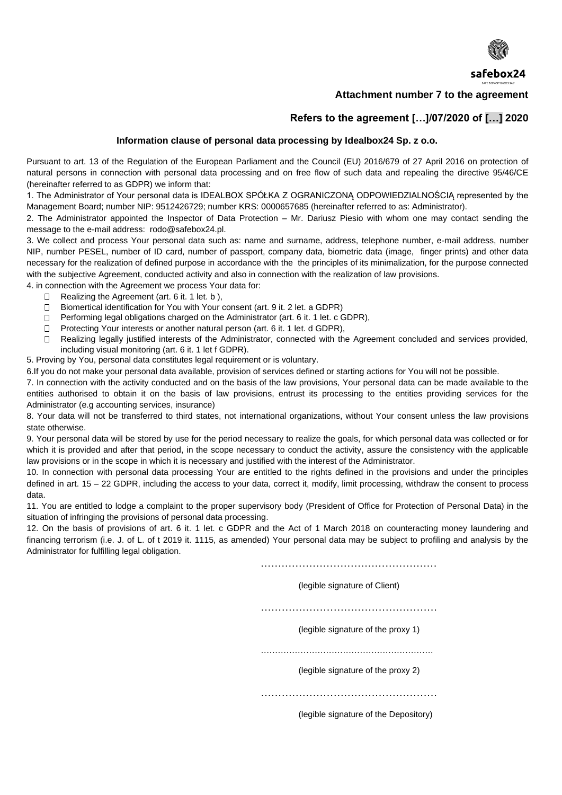

### **Attachment number 7 to the agreement**

### **Refers to the agreement […]/07/2020 of […] 2020**

#### **Information clause of personal data processing by Idealbox24 Sp. z o.o.**

Pursuant to art. 13 of the Regulation of the European Parliament and the Council (EU) 2016/679 of 27 April 2016 on protection of natural persons in connection with personal data processing and on free flow of such data and repealing the directive 95/46/CE (hereinafter referred to as GDPR) we inform that:

1. The Administrator of Your personal data is IDEALBOX SPÓŁKA Z OGRANICZONĄ ODPOWIEDZIALNOŚCIĄ represented by the Management Board; number NIP: 9512426729; number KRS: 0000657685 (hereinafter referred to as: Administrator).

2. The Administrator appointed the Inspector of Data Protection – Mr. Dariusz Piesio with whom one may contact sending the message to the e-mail address: rodo@safebox24.pl.

3. We collect and process Your personal data such as: name and surname, address, telephone number, e-mail address, number NIP, number PESEL, number of ID card, number of passport, company data, biometric data (image, finger prints) and other data necessary for the realization of defined purpose in accordance with the the principles of its minimalization, for the purpose connected with the subjective Agreement, conducted activity and also in connection with the realization of law provisions.

4. in connection with the Agreement we process Your data for:

- $\Box$ Realizing the Agreement (art. 6 it. 1 let. b ),
- $\Box$ Biomertical identification for You with Your consent (art. 9 it. 2 let. a GDPR)
- $\Box$ Performing legal obligations charged on the Administrator (art. 6 it. 1 let. c GDPR),
- $\Box$ Protecting Your interests or another natural person (art. 6 it. 1 let. d GDPR),
- $\Box$ Realizing legally justified interests of the Administrator, connected with the Agreement concluded and services provided, including visual monitoring (art. 6 it. 1 let f GDPR).

5. Proving by You, personal data constitutes legal requirement or is voluntary.

6.If you do not make your personal data available, provision of services defined or starting actions for You will not be possible.

7. In connection with the activity conducted and on the basis of the law provisions, Your personal data can be made available to the entities authorised to obtain it on the basis of law provisions, entrust its processing to the entities providing services for the Administrator (e.g accounting services, insurance)

8. Your data will not be transferred to third states, not international organizations, without Your consent unless the law provisions state otherwise.

9. Your personal data will be stored by use for the period necessary to realize the goals, for which personal data was collected or for which it is provided and after that period, in the scope necessary to conduct the activity, assure the consistency with the applicable law provisions or in the scope in which it is necessary and justified with the interest of the Administrator.

10. In connection with personal data processing Your are entitled to the rights defined in the provisions and under the principles defined in art. 15 – 22 GDPR, including the access to your data, correct it, modify, limit processing, withdraw the consent to process data.

11. You are entitled to lodge a complaint to the proper supervisory body (President of Office for Protection of Personal Data) in the situation of infringing the provisions of personal data processing.

12. On the basis of provisions of art. 6 it. 1 let. c GDPR and the Act of 1 March 2018 on counteracting money laundering and financing terrorism (i.e. J. of L. of t 2019 it. 1115, as amended) Your personal data may be subject to profiling and analysis by the Administrator for fulfilling legal obligation.

……………………………………………

(legible signature of Client)

……………………………………………

(legible signature of the proxy 1)

…………………………………………………….

(legible signature of the proxy 2)

………………………………………………………

(legible signature of the Depository)